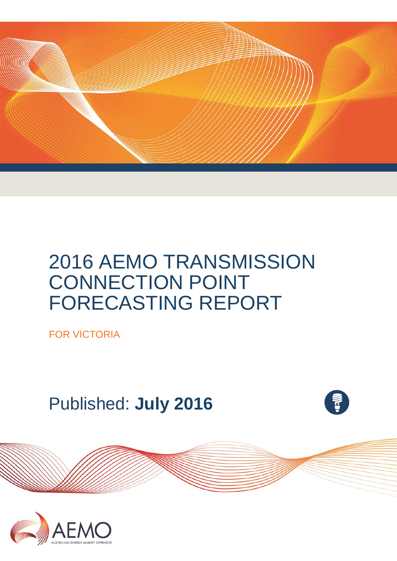

# 2016 AEMO TRANSMISSION CONNECTION POINT FORECASTING REPORT

FOR VICTORIA

Published: **July 2016**



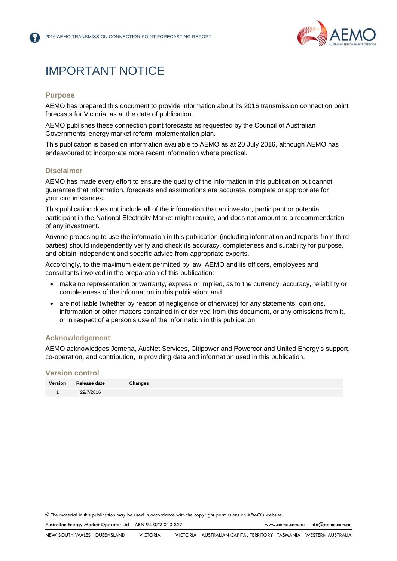

## IMPORTANT NOTICE

#### **Purpose**

AEMO has prepared this document to provide information about its 2016 transmission connection point forecasts for Victoria, as at the date of publication.

AEMO publishes these connection point forecasts as requested by the Council of Australian Governments' energy market reform implementation plan.

This publication is based on information available to AEMO as at 20 July 2016, although AEMO has endeavoured to incorporate more recent information where practical.

### **Disclaimer**

AEMO has made every effort to ensure the quality of the information in this publication but cannot guarantee that information, forecasts and assumptions are accurate, complete or appropriate for your circumstances.

This publication does not include all of the information that an investor, participant or potential participant in the National Electricity Market might require, and does not amount to a recommendation of any investment.

Anyone proposing to use the information in this publication (including information and reports from third parties) should independently verify and check its accuracy, completeness and suitability for purpose, and obtain independent and specific advice from appropriate experts.

Accordingly, to the maximum extent permitted by law, AEMO and its officers, employees and consultants involved in the preparation of this publication:

- make no representation or warranty, express or implied, as to the currency, accuracy, reliability or completeness of the information in this publication; and
- are not liable (whether by reason of negligence or otherwise) for any statements, opinions, information or other matters contained in or derived from this document, or any omissions from it, or in respect of a person's use of the information in this publication.

### **Acknowledgement**

AEMO acknowledges Jemena, AusNet Services, Citipower and Powercor and United Energy's support, co-operation, and contribution, in providing data and information used in this publication.

#### **Version control**

© The material in this publication may be used in accordance with th[e copyright permissions](http://www.aemo.com.au/en/About-AEMO/Copyright-Permissions) on AEMO's website.

Australian Energy Market Operator Ltd ABN 94 072 010 327 [www.aemo.com.au](http://www.aemo.com.au/) [info@aemo.com.au](mailto:info@aemo.com.au)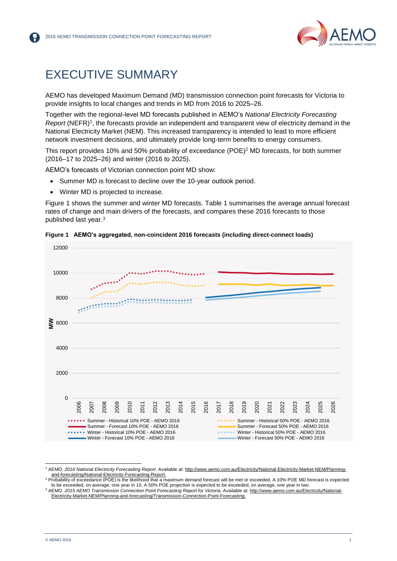

## <span id="page-2-0"></span>EXECUTIVE SUMMARY

AEMO has developed Maximum Demand (MD) transmission connection point forecasts for Victoria to provide insights to local changes and trends in MD from 2016 to 2025–26.

Together with the regional-level MD forecasts published in AEMO's *National Electricity Forecasting Report* (NEFR)<sup>1</sup>, the forecasts provide an independent and transparent view of electricity demand in the National Electricity Market (NEM). This increased transparency is intended to lead to more efficient network investment decisions, and ultimately provide long-term benefits to energy consumers.

This report provides 10% and 50% probability of exceedance (POE)<sup>2</sup> MD forecasts, for both summer (2016–17 to 2025–26) and winter (2016 to 2025).

AEMO's forecasts of Victorian connection point MD show:

- Summer MD is forecast to decline over the 10-year outlook period.
- Winter MD is projected to increase.

Figure 1 shows the summer and winter MD forecasts. [Table 1](#page-3-0) summarises the average annual forecast rates of change and main drivers of the forecasts, and compares these 2016 forecasts to those published last year. 3



<span id="page-2-1"></span>

l

<sup>1</sup> AEMO. *2016 National Electricity Forecasting Report*. Available at[: http://www.aemo.com.au/Electricity/National-Electricity-Market-NEM/Planning](http://www.aemo.com.au/Electricity/National-Electricity-Market-NEM/Planning-and-forecasting/National-Electricity-Forecasting-Report)[and-forecasting/National-Electricity-Forecasting-Report.](http://www.aemo.com.au/Electricity/National-Electricity-Market-NEM/Planning-and-forecasting/National-Electricity-Forecasting-Report)

<sup>&</sup>lt;sup>2</sup> Probability of exceedance (POE) is the likelihood that a maximum demand forecast will be met or exceeded. A 10% POE MD forecast is expected to be exceeded, on average, one year in 10. A 50% POE projection is expected to be exceeded, on average, one year in two. <sup>3</sup> AEMO. *2015 AEMO Transmission Connection Point Forecasting Report for Victoria.* Available at: [http://www.aemo.com.au/Electricity/National-](http://www.aemo.com.au/Electricity/National-Electricity-Market-NEM/Planning-and-forecasting/Transmission-Connection-Point-Forecasting)

[Electricity-Market-NEM/Planning-and-forecasting/Transmission-Connection-Point-Forecasting.](http://www.aemo.com.au/Electricity/National-Electricity-Market-NEM/Planning-and-forecasting/Transmission-Connection-Point-Forecasting)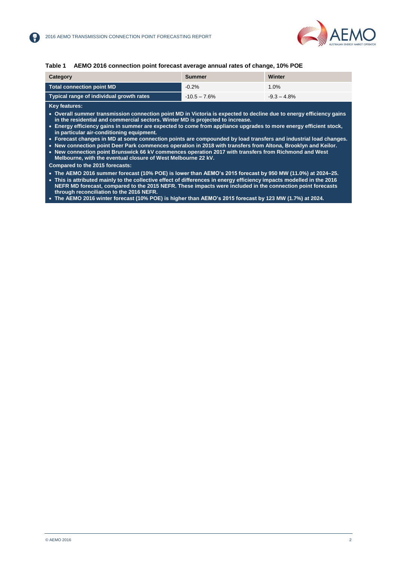

#### <span id="page-3-0"></span>**Table 1 AEMO 2016 connection point forecast average annual rates of change, 10% POE**

| Category                                 | Summer         | Winter         |
|------------------------------------------|----------------|----------------|
| Total connection point MD                | $-0.2\%$       | 1.0%           |
| Typical range of individual growth rates | $-10.5 - 7.6%$ | $-9.3 - 4.8\%$ |

**Key features:**

- **Overall summer transmission connection point MD in Victoria is expected to decline due to energy efficiency gains in the residential and commercial sectors. Winter MD is projected to increase.**
- **Energy efficiency gains in summer are expected to come from appliance upgrades to more energy efficient stock, in particular air-conditioning equipment.**
- **Forecast changes in MD at some connection points are compounded by load transfers and industrial load changes.**
- **New connection point Deer Park commences operation in 2018 with transfers from Altona, Brooklyn and Keilor.**

 **New connection point Brunswick 66 kV commences operation 2017 with transfers from Richmond and West Melbourne, with the eventual closure of West Melbourne 22 kV.**

**Compared to the 2015 forecasts:**

 **The AEMO 2016 summer forecast (10% POE) is lower than AEMO's 2015 forecast by 950 MW (11.0%) at 2024–25. This is attributed mainly to the collective effect of differences in energy efficiency impacts modelled in the 2016 NEFR MD forecast, compared to the 2015 NEFR. These impacts were included in the connection point forecasts through reconciliation to the 2016 NEFR.**

**The AEMO 2016 winter forecast (10% POE) is higher than AEMO's 2015 forecast by 123 MW (1.7%) at 2024.**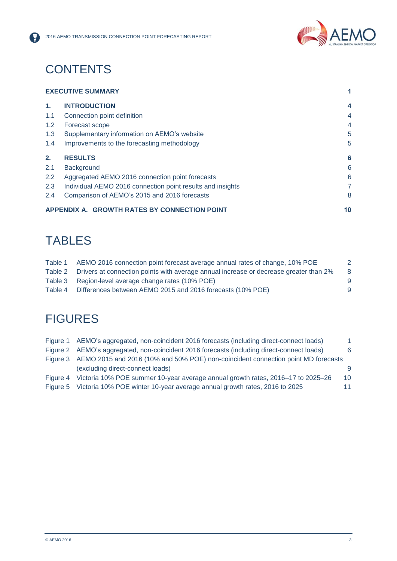

## **CONTENTS**

8

|               | <b>EXECUTIVE SUMMARY</b>                                   |                |
|---------------|------------------------------------------------------------|----------------|
| 1.            | <b>INTRODUCTION</b>                                        | 4              |
| 1.1           | Connection point definition                                | $\overline{4}$ |
| $1.2^{\circ}$ | Forecast scope                                             | $\overline{4}$ |
| 1.3           | Supplementary information on AEMO's website                | 5              |
| 1.4           | Improvements to the forecasting methodology                | 5              |
| 2.            | <b>RESULTS</b>                                             | 6              |
| 2.1           | Background                                                 | 6              |
| $2.2^{\circ}$ | Aggregated AEMO 2016 connection point forecasts            | 6              |
| 2.3           | Individual AEMO 2016 connection point results and insights | 7              |
| 2.4           | Comparison of AEMO's 2015 and 2016 forecasts               | 8              |
|               | APPENDIX A. GROWTH RATES BY CONNECTION POINT               | 10             |

## TABLES

| Table 1 | AEMO 2016 connection point forecast average annual rates of change, 10% POE           |   |
|---------|---------------------------------------------------------------------------------------|---|
| Table 2 | Drivers at connection points with average annual increase or decrease greater than 2% | 8 |
|         | Table 3 Region-level average change rates (10% POE)                                   | 9 |
| Table 4 | Differences between AEMO 2015 and 2016 forecasts (10% POE)                            | 9 |

## **FIGURES**

| Figure 1 AEMO's aggregated, non-coincident 2016 forecasts (including direct-connect loads) | $\blacktriangleleft$ |
|--------------------------------------------------------------------------------------------|----------------------|
| Figure 2 AEMO's aggregated, non-coincident 2016 forecasts (including direct-connect loads) | 6                    |
| Figure 3 AEMO 2015 and 2016 (10% and 50% POE) non-coincident connection point MD forecasts |                      |
| (excluding direct-connect loads)                                                           | 9                    |
| Figure 4 Victoria 10% POE summer 10-year average annual growth rates, 2016–17 to 2025–26   | 10 <sup>1</sup>      |
| Figure 5 Victoria 10% POE winter 10-year average annual growth rates, 2016 to 2025         | 11                   |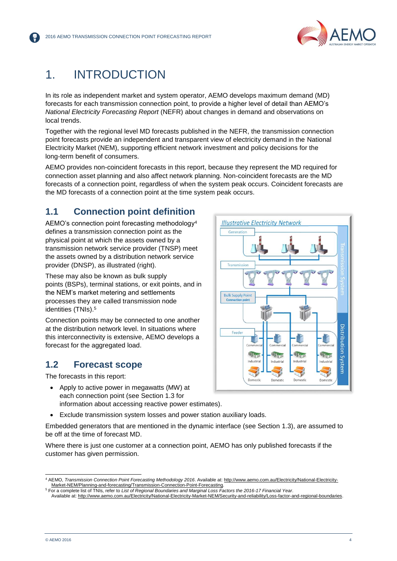

## <span id="page-5-0"></span>1. INTRODUCTION

In its role as independent market and system operator, AEMO develops maximum demand (MD) forecasts for each transmission connection point, to provide a higher level of detail than AEMO's *National Electricity Forecasting Report* (NEFR) about changes in demand and observations on local trends.

Together with the regional level MD forecasts published in the NEFR, the transmission connection point forecasts provide an independent and transparent view of electricity demand in the National Electricity Market (NEM), supporting efficient network investment and policy decisions for the long-term benefit of consumers.

AEMO provides non-coincident forecasts in this report, because they represent the MD required for connection asset planning and also affect network planning. Non-coincident forecasts are the MD forecasts of a connection point, regardless of when the system peak occurs. Coincident forecasts are the MD forecasts of a connection point at the time system peak occurs.

### <span id="page-5-1"></span>**1.1 Connection point definition**

AEMO's connection point forecasting methodology<sup>4</sup> defines a transmission connection point as the physical point at which the assets owned by a transmission network service provider (TNSP) meet the assets owned by a distribution network service provider (DNSP), as illustrated (right).

These may also be known as bulk supply points (BSPs), terminal stations, or exit points, and in the NEM's market metering and settlements processes they are called transmission node identities (TNIs). 5

Connection points may be connected to one another at the distribution network level. In situations where this interconnectivity is extensive, AEMO develops a forecast for the aggregated load.

### <span id="page-5-2"></span>**1.2 Forecast scope**

The forecasts in this report:

- Apply to active power in megawatts (MW) at each connection point (see Section 1.3 for information about accessing reactive power estimates).
- Exclude transmission system losses and power station auxiliary loads.

Embedded generators that are mentioned in the dynamic interface (see Section 1.3), are assumed to be off at the time of forecast MD.

Where there is just one customer at a connection point, AEMO has only published forecasts if the customer has given permission.



l <sup>4</sup> AEMO, *Transmission Connection Point Forecasting Methodology 2016*. Available at: [http://www.aemo.com.au/Electricity/National-Electricity-](http://www.aemo.com.au/Electricity/National-Electricity-Market-NEM/Planning-and-forecasting/Transmission-Connection-Point-Forecasting)[Market-NEM/Planning-and-forecasting/Transmission-Connection-Point-Forecasting.](http://www.aemo.com.au/Electricity/National-Electricity-Market-NEM/Planning-and-forecasting/Transmission-Connection-Point-Forecasting) <sup>5</sup> For a complete list of TNIs, refer to *List of Regional Boundaries and Marginal Loss Factors the 2016-17 Financial Year*.

Available at[: http://www.aemo.com.au/Electricity/National-Electricity-Market-NEM/Security-and-reliability/Loss-factor-and-regional-boundaries.](http://www.aemo.com.au/Electricity/National-Electricity-Market-NEM/Security-and-reliability/Loss-factor-and-regional-boundaries)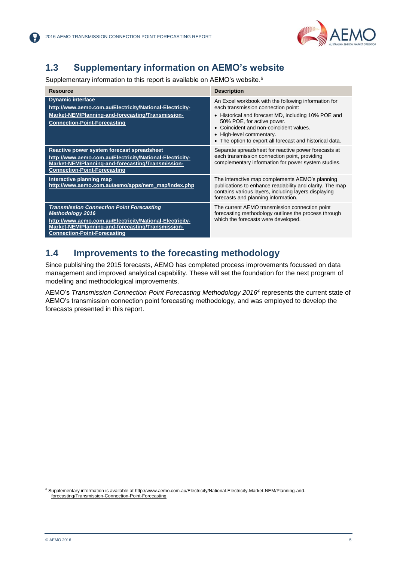

### <span id="page-6-0"></span>**1.3 Supplementary information on AEMO's website**

Supplementary information to this report is available on AEMO's website.<sup>6</sup>

| <b>Resource</b>                                                                                                                                                                                                                     | <b>Description</b>                                                                                                                                                                                                                                                                                          |
|-------------------------------------------------------------------------------------------------------------------------------------------------------------------------------------------------------------------------------------|-------------------------------------------------------------------------------------------------------------------------------------------------------------------------------------------------------------------------------------------------------------------------------------------------------------|
| <b>Dynamic interface</b><br>http://www.aemo.com.au/Electricity/National-Electricity-<br>Market-NEM/Planning-and-forecasting/Transmission-<br><b>Connection-Point-Forecasting</b>                                                    | An Excel workbook with the following information for<br>each transmission connection point:<br>Historical and forecast MD, including 10% POE and<br>50% POE, for active power.<br>Coincident and non-coincident values.<br>High-level commentary.<br>The option to export all forecast and historical data. |
| Reactive power system forecast spreadsheet<br>http://www.aemo.com.au/Electricity/National-Electricity-<br>Market-NEM/Planning-and-forecasting/Transmission-<br><b>Connection-Point-Forecasting</b>                                  | Separate spreadsheet for reactive power forecasts at<br>each transmission connection point, providing<br>complementary information for power system studies.                                                                                                                                                |
| Interactive planning map<br>http://www.aemo.com.au/aemo/apps/nem_map/index.php                                                                                                                                                      | The interactive map complements AEMO's planning<br>publications to enhance readability and clarity. The map<br>contains various layers, including layers displaying<br>forecasts and planning information.                                                                                                  |
| <b>Transmission Connection Point Forecasting</b><br><b>Methodology 2016</b><br>http://www.aemo.com.au/Electricity/National-Electricity-<br>Market-NEM/Planning-and-forecasting/Transmission-<br><b>Connection-Point-Forecasting</b> | The current AEMO transmission connection point<br>forecasting methodology outlines the process through<br>which the forecasts were developed.                                                                                                                                                               |

### <span id="page-6-1"></span>**1.4 Improvements to the forecasting methodology**

Since publishing the 2015 forecasts, AEMO has completed process improvements focussed on data management and improved analytical capability. These will set the foundation for the next program of modelling and methodological improvements.

AEMO's *Transmission Connection Point Forecasting Methodology 2016<sup>4</sup>* represents the current state of AEMO's transmission connection point forecasting methodology, and was employed to develop the forecasts presented in this report.

l

<sup>6</sup> Supplementary information is available at [http://www.aemo.com.au/Electricity/National-Electricity-Market-NEM/Planning-and](http://www.aemo.com.au/Electricity/National-Electricity-Market-NEM/Planning-and-forecasting/Transmission-Connection-Point-Forecasting)[forecasting/Transmission-Connection-Point-Forecasting.](http://www.aemo.com.au/Electricity/National-Electricity-Market-NEM/Planning-and-forecasting/Transmission-Connection-Point-Forecasting)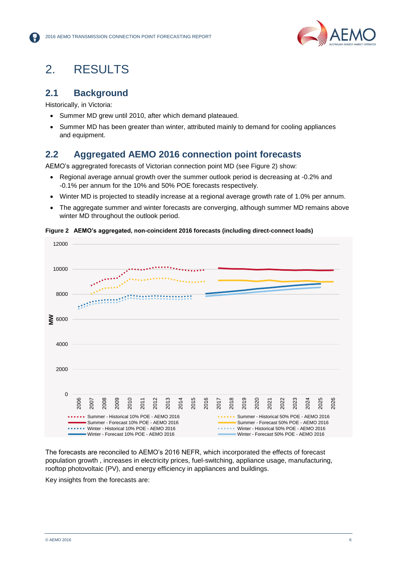

## <span id="page-7-0"></span>2. RESULTS

### <span id="page-7-1"></span>**2.1 Background**

Historically, in Victoria:

- Summer MD grew until 2010, after which demand plateaued.
- Summer MD has been greater than winter, attributed mainly to demand for cooling appliances and equipment.

### <span id="page-7-2"></span>**2.2 Aggregated AEMO 2016 connection point forecasts**

AEMO's aggregrated forecasts of Victorian connection point MD (see [Figure 2\)](#page-7-3) show:

- Regional average annual growth over the summer outlook period is decreasing at -0.2% and -0.1% per annum for the 10% and 50% POE forecasts respectively.
- Winter MD is projected to steadily increase at a regional average growth rate of 1.0% per annum.
- The aggregate summer and winter forecasts are converging, although summer MD remains above winter MD throughout the outlook period.



<span id="page-7-3"></span>**Figure 2 AEMO's aggregated, non-coincident 2016 forecasts (including direct-connect loads)**

The forecasts are reconciled to AEMO's 2016 NEFR, which incorporated the effects of forecast population growth , increases in electricity prices, fuel-switching, appliance usage, manufacturing, rooftop photovoltaic (PV), and energy efficiency in appliances and buildings.

Key insights from the forecasts are: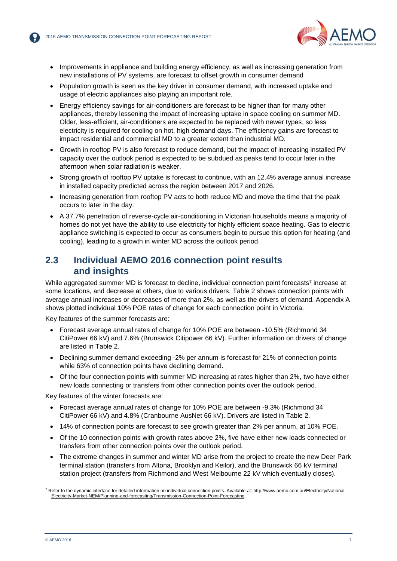

- Improvements in appliance and building energy efficiency, as well as increasing generation from new installations of PV systems, are forecast to offset growth in consumer demand
- Population growth is seen as the key driver in consumer demand, with increased uptake and usage of electric appliances also playing an important role.
- Energy efficiency savings for air-conditioners are forecast to be higher than for many other appliances, thereby lessening the impact of increasing uptake in space cooling on summer MD. Older, less-efficient, air-conditioners are expected to be replaced with newer types, so less electricity is required for cooling on hot, high demand days. The efficiency gains are forecast to impact residential and commercial MD to a greater extent than industrial MD.
- Growth in rooftop PV is also forecast to reduce demand, but the impact of increasing installed PV capacity over the outlook period is expected to be subdued as peaks tend to occur later in the afternoon when solar radiation is weaker.
- Strong growth of rooftop PV uptake is forecast to continue, with an 12.4% average annual increase in installed capacity predicted across the region between 2017 and 2026.
- Increasing generation from rooftop PV acts to both reduce MD and move the time that the peak occurs to later in the day.
- A 37.7% penetration of reverse-cycle air-conditioning in Victorian households means a majority of homes do not yet have the ability to use electricity for highly efficient space heating. Gas to electric appliance switching is expected to occur as consumers begin to pursue this option for heating (and cooling), leading to a growth in winter MD across the outlook period.

### <span id="page-8-0"></span>**2.3 Individual AEMO 2016 connection point results and insights**

While aggregated summer MD is forecast to decline, individual connection point forecasts<sup>7</sup> increase at some locations, and decrease at others, due to various drivers. Table 2 shows connection points with average annual increases or decreases of more than 2%, as well as the drivers of demand. Appendix A shows plotted individual 10% POE rates of change for each connection point in Victoria.

Key features of the summer forecasts are:

- Forecast average annual rates of change for 10% POE are between -10.5% (Richmond 34 CitiPower 66 kV) and 7.6% (Brunswick Citipower 66 kV). Further information on drivers of change are listed in [Table 2.](#page-9-1)
- Declining summer demand exceeding -2% per annum is forecast for 21% of connection points while 63% of connection points have declining demand.
- Of the four connection points with summer MD increasing at rates higher than 2%, two have either new loads connecting or transfers from other connection points over the outlook period.

Key features of the winter forecasts are:

- Forecast average annual rates of change for 10% POE are between -9.3% (Richmond 34 CitiPower 66 kV) and 4.8% (Cranbourne AusNet 66 kV). Drivers are listed in [Table 2.](#page-9-1)
- 14% of connection points are forecast to see growth greater than 2% per annum, at 10% POE.
- Of the 10 connection points with growth rates above 2%, five have either new loads connected or transfers from other connection points over the outlook period.
- The extreme changes in summer and winter MD arise from the project to create the new Deer Park terminal station (transfers from Altona, Brooklyn and Keilor), and the Brunswick 66 kV terminal station project (transfers from Richmond and West Melbourne 22 kV which eventually closes).

l <sup>7</sup> Refer to the dynamic interface for detailed information on individual connection points. Available at[: http://www.aemo.com.au/Electricity/National-](http://www.aemo.com.au/Electricity/National-Electricity-Market-NEM/Planning-and-forecasting/Transmission-Connection-Point-Forecasting)[Electricity-Market-NEM/Planning-and-forecasting/Transmission-Connection-Point-Forecasting.](http://www.aemo.com.au/Electricity/National-Electricity-Market-NEM/Planning-and-forecasting/Transmission-Connection-Point-Forecasting)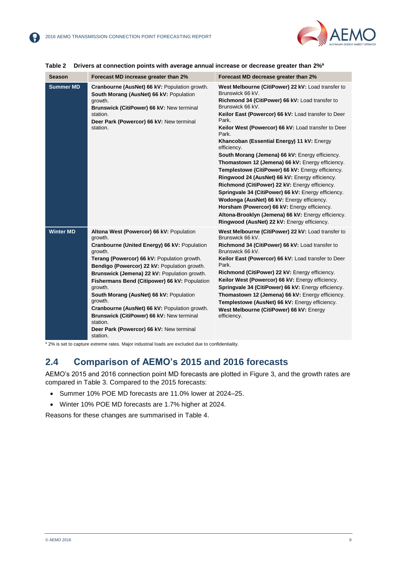

| <b>Season</b>    | Forecast MD increase greater than 2%                                                                                                                                                                                                                                                                                                                                                                                                                                                                                                              | Forecast MD decrease greater than 2%                                                                                                                                                                                                                                                                                                                                                                                                                                                                                                                                                                                                                                                                                                                                                                                                                                 |
|------------------|---------------------------------------------------------------------------------------------------------------------------------------------------------------------------------------------------------------------------------------------------------------------------------------------------------------------------------------------------------------------------------------------------------------------------------------------------------------------------------------------------------------------------------------------------|----------------------------------------------------------------------------------------------------------------------------------------------------------------------------------------------------------------------------------------------------------------------------------------------------------------------------------------------------------------------------------------------------------------------------------------------------------------------------------------------------------------------------------------------------------------------------------------------------------------------------------------------------------------------------------------------------------------------------------------------------------------------------------------------------------------------------------------------------------------------|
| <b>Summer MD</b> | Cranbourne (AusNet) 66 kV: Population growth.<br>South Morang (AusNet) 66 kV: Population<br>growth.<br>Brunswick (CitiPower) 66 kV: New terminal<br>station.<br>Deer Park (Powercor) 66 kV: New terminal<br>station.                                                                                                                                                                                                                                                                                                                              | West Melbourne (CitiPower) 22 kV: Load transfer to<br>Brunswick 66 kV.<br>Richmond 34 (CitiPower) 66 kV: Load transfer to<br>Brunswick 66 kV.<br>Keilor East (Powercor) 66 kV: Load transfer to Deer<br>Park.<br>Keilor West (Powercor) 66 kV: Load transfer to Deer<br>Park.<br>Khancoban (Essential Energy) 11 kV: Energy<br>efficiency.<br>South Morang (Jemena) 66 kV: Energy efficiency.<br>Thomastown 12 (Jemena) 66 kV: Energy efficiency.<br>Templestowe (CitiPower) 66 kV: Energy efficiency.<br>Ringwood 24 (AusNet) 66 kV: Energy efficiency.<br>Richmond (CitiPower) 22 kV: Energy efficiency.<br>Springvale 34 (CitiPower) 66 kV: Energy efficiency.<br>Wodonga (AusNet) 66 kV: Energy efficiency.<br>Horsham (Powercor) 66 kV: Energy efficiency.<br>Altona-Brooklyn (Jemena) 66 kV: Energy efficiency.<br>Ringwood (AusNet) 22 kV: Energy efficiency. |
| <b>Winter MD</b> | Altona West (Powercor) 66 kV: Population<br>growth.<br>Cranbourne (United Energy) 66 kV: Population<br>growth.<br>Terang (Powercor) 66 kV: Population growth.<br>Bendigo (Powercor) 22 kV: Population growth.<br>Brunswick (Jemena) 22 kV: Population growth.<br>Fishermans Bend (Citipower) 66 kV: Population<br>growth.<br>South Morang (AusNet) 66 kV: Population<br>growth.<br>Cranbourne (AusNet) 66 kV: Population growth.<br>Brunswick (CitiPower) 66 kV: New terminal<br>station.<br>Deer Park (Powercor) 66 kV: New terminal<br>station. | West Melbourne (CitiPower) 22 kV: Load transfer to<br>Brunswick 66 kV.<br>Richmond 34 (CitiPower) 66 kV: Load transfer to<br>Brunswick 66 kV.<br>Keilor East (Powercor) 66 kV: Load transfer to Deer<br>Park.<br>Richmond (CitiPower) 22 kV: Energy efficiency.<br>Keilor West (Powercor) 66 kV: Energy efficiency.<br>Springvale 34 (CitiPower) 66 kV: Energy efficiency.<br>Thomastown 12 (Jemena) 66 kV: Energy efficiency.<br>Templestowe (AusNet) 66 kV: Energy efficiency.<br>West Melbourne (CitiPower) 66 kV: Energy<br>efficiency.                                                                                                                                                                                                                                                                                                                          |

#### <span id="page-9-1"></span>**Table 2 Drivers at connection points with average annual increase or decrease greater than 2%<sup>a</sup>**

<sup>a</sup> 2% is set to capture extreme rates. Major industrial loads are excluded due to confidentiality.

### <span id="page-9-0"></span>**2.4 Comparison of AEMO's 2015 and 2016 forecasts**

AEMO's 2015 and 2016 connection point MD forecasts are plotted in Figure 3, and the growth rates are compared in Table 3. Compared to the 2015 forecasts:

- Summer 10% POE MD forecasts are 11.0% lower at 2024–25.
- Winter 10% POE MD forecasts are 1.7% higher at 2024.

Reasons for these changes are summarised in Table 4.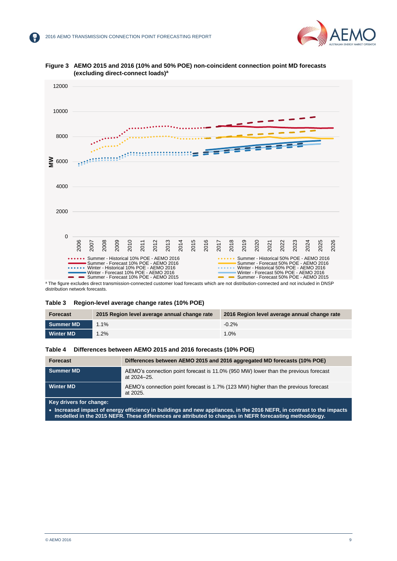



<span id="page-10-2"></span>**Figure 3 AEMO 2015 and 2016 (10% and 50% POE) non-coincident connection point MD forecasts (excluding direct-connect loads)<sup>a</sup>**

distribution network forecasts.

#### <span id="page-10-0"></span>**Table 3 Region-level average change rates (10% POE)**

| Forecast         | 2015 Region level average annual change rate | 2016 Region level average annual change rate |
|------------------|----------------------------------------------|----------------------------------------------|
| <b>Summer MD</b> | $1.1\%$                                      | $-0.2%$                                      |
| <b>Winter MD</b> | 1.2%                                         | 1.0%                                         |

#### <span id="page-10-1"></span>**Table 4 Differences between AEMO 2015 and 2016 forecasts (10% POE)**

| Forecast         | Differences between AEMO 2015 and 2016 aggregated MD forecasts (10% POE)                           |
|------------------|----------------------------------------------------------------------------------------------------|
| <b>Summer MD</b> | AEMO's connection point forecast is 11.0% (950 MW) lower than the previous forecast<br>at 2024–25. |
| <b>Winter MD</b> | AEMO's connection point forecast is 1.7% (123 MW) higher than the previous forecast<br>at 2025.    |

**Key drivers for change:**

 **Increased impact of energy efficiency in buildings and new appliances, in the 2016 NEFR, in contrast to the impacts modelled in the 2015 NEFR. These differences are attributed to changes in NEFR forecasting methodology.**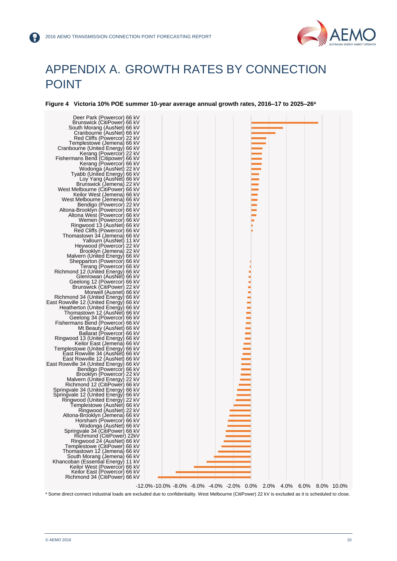

## <span id="page-11-0"></span>APPENDIX A. GROWTH RATES BY CONNECTION POINT

<span id="page-11-1"></span>**Figure 4 Victoria 10% POE summer 10-year average annual growth rates, 2016–17 to 2025–26<sup>a</sup>**



a Some direct-connect industrial loads are excluded due to confidentiality. West Melbourne (CitiPower) 22 kV is excluded as it is scheduled to close.